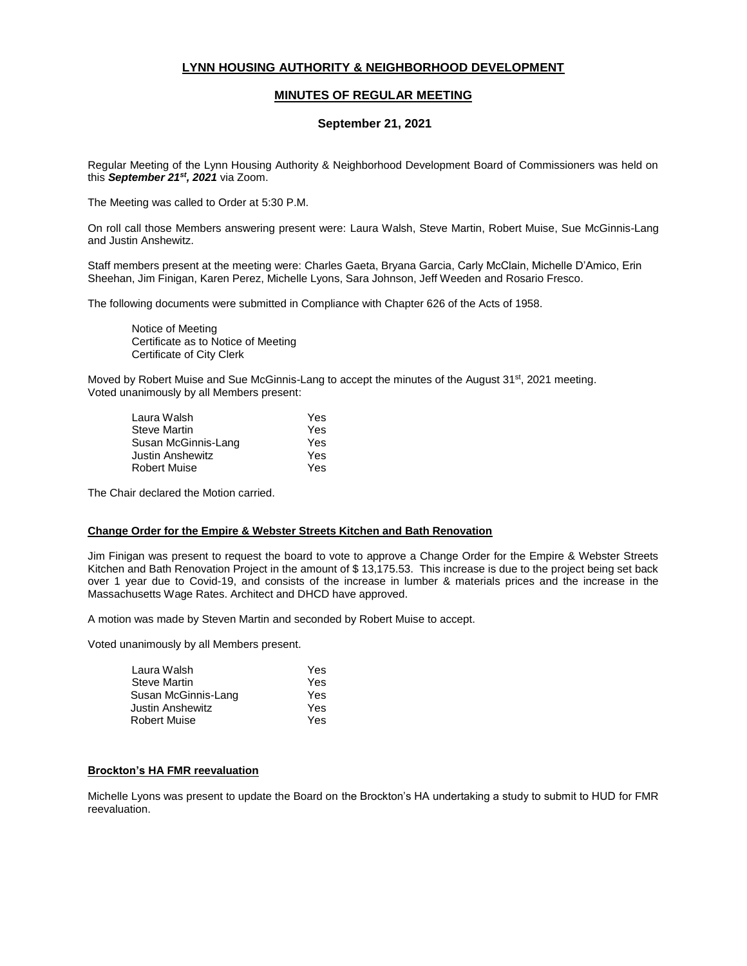# **LYNN HOUSING AUTHORITY & NEIGHBORHOOD DEVELOPMENT**

## **MINUTES OF REGULAR MEETING**

## **September 21, 2021**

Regular Meeting of the Lynn Housing Authority & Neighborhood Development Board of Commissioners was held on this *September 21st, 2021* via Zoom.

The Meeting was called to Order at 5:30 P.M.

On roll call those Members answering present were: Laura Walsh, Steve Martin, Robert Muise, Sue McGinnis-Lang and Justin Anshewitz.

Staff members present at the meeting were: Charles Gaeta, Bryana Garcia, Carly McClain, Michelle D'Amico, Erin Sheehan, Jim Finigan, Karen Perez, Michelle Lyons, Sara Johnson, Jeff Weeden and Rosario Fresco.

The following documents were submitted in Compliance with Chapter 626 of the Acts of 1958.

Notice of Meeting Certificate as to Notice of Meeting Certificate of City Clerk

Moved by Robert Muise and Sue McGinnis-Lang to accept the minutes of the August 31<sup>st</sup>, 2021 meeting. Voted unanimously by all Members present:

| Laura Walsh         | Yes |
|---------------------|-----|
| Steve Martin        | Yes |
| Susan McGinnis-Lang | Yes |
| Justin Anshewitz    | Yes |
| <b>Robert Muise</b> | Yes |

The Chair declared the Motion carried.

### **Change Order for the Empire & Webster Streets Kitchen and Bath Renovation**

Jim Finigan was present to request the board to vote to approve a Change Order for the Empire & Webster Streets Kitchen and Bath Renovation Project in the amount of \$ 13,175.53. This increase is due to the project being set back over 1 year due to Covid-19, and consists of the increase in lumber & materials prices and the increase in the Massachusetts Wage Rates. Architect and DHCD have approved.

A motion was made by Steven Martin and seconded by Robert Muise to accept.

Voted unanimously by all Members present.

| Laura Walsh         | Yes |
|---------------------|-----|
| <b>Steve Martin</b> | Yes |
| Susan McGinnis-Lang | Yes |
| Justin Anshewitz    | Yes |
| <b>Robert Muise</b> | Yes |

## **Brockton's HA FMR reevaluation**

Michelle Lyons was present to update the Board on the Brockton's HA undertaking a study to submit to HUD for FMR reevaluation.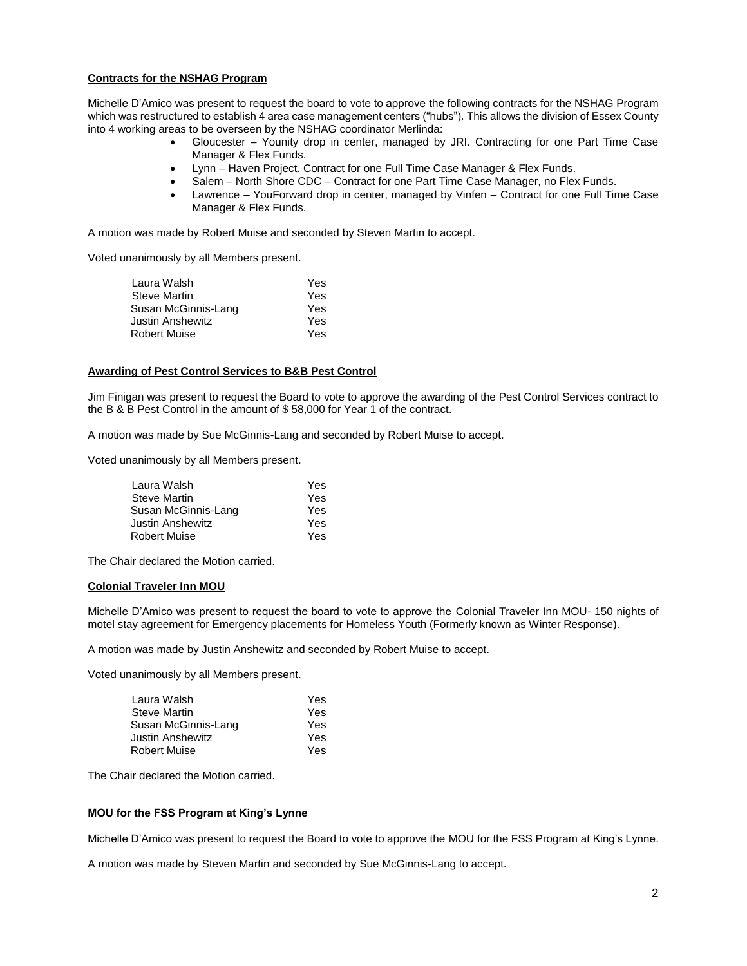## **Contracts for the NSHAG Program**

Michelle D'Amico was present to request the board to vote to approve the following contracts for the NSHAG Program which was restructured to establish 4 area case management centers ("hubs"). This allows the division of Essex County into 4 working areas to be overseen by the NSHAG coordinator Merlinda:

- Gloucester Younity drop in center, managed by JRI. Contracting for one Part Time Case Manager & Flex Funds.
- Lynn Haven Project. Contract for one Full Time Case Manager & Flex Funds.
- Salem North Shore CDC Contract for one Part Time Case Manager, no Flex Funds.
- Lawrence YouForward drop in center, managed by Vinfen Contract for one Full Time Case Manager & Flex Funds.

A motion was made by Robert Muise and seconded by Steven Martin to accept.

Voted unanimously by all Members present.

| Laura Walsh             | Yes |
|-------------------------|-----|
| Steve Martin            | Yes |
| Susan McGinnis-Lang     | Yes |
| <b>Justin Anshewitz</b> | Yes |
| <b>Robert Muise</b>     | Yes |
|                         |     |

### **Awarding of Pest Control Services to B&B Pest Control**

Jim Finigan was present to request the Board to vote to approve the awarding of the Pest Control Services contract to the B & B Pest Control in the amount of \$ 58,000 for Year 1 of the contract.

A motion was made by Sue McGinnis-Lang and seconded by Robert Muise to accept.

Voted unanimously by all Members present.

| Yes |
|-----|
| Yes |
| Yes |
| Yes |
| Yes |
|     |

The Chair declared the Motion carried.

### **Colonial Traveler Inn MOU**

Michelle D'Amico was present to request the board to vote to approve the Colonial Traveler Inn MOU- 150 nights of motel stay agreement for Emergency placements for Homeless Youth (Formerly known as Winter Response).

A motion was made by Justin Anshewitz and seconded by Robert Muise to accept.

Voted unanimously by all Members present.

| Laura Walsh             | Yes |
|-------------------------|-----|
| <b>Steve Martin</b>     | Yes |
| Susan McGinnis-Lang     | Yes |
| <b>Justin Anshewitz</b> | Yes |
| <b>Robert Muise</b>     | Yes |

The Chair declared the Motion carried.

### **MOU for the FSS Program at King's Lynne**

Michelle D'Amico was present to request the Board to vote to approve the MOU for the FSS Program at King's Lynne.

A motion was made by Steven Martin and seconded by Sue McGinnis-Lang to accept.